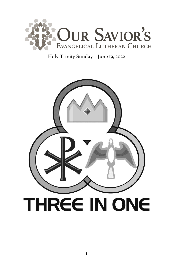

# Holy Trinity Sunday – June 19, 2022

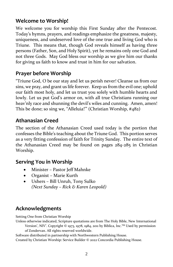# **Welcome to Worship!**

We welcome you for worship this First Sunday after the Pentecost. Today's hymns, prayers, and readings emphasize the greatness, majesty, uniqueness, and undeserved love of the one true and living God who is Triune. This means that, though God reveals himself as having three persons (Father, Son, and Holy Spirit), yet he remains only one God and not three Gods. May God bless our worship as we give him our thanks for giving us faith to know and trust in him for our salvation.

# **Prayer before Worship**

"Triune God, O be our stay and let us perish never! Cleanse us from our sins, we pray, and grant us life forever. Keep us from the evil one; uphold our faith most holy, and let us trust you solely with humble hearts and lowly. Let us put God's armor on, with all true Christians running our heav'nly race and shunning the devil's wiles and cunning. Amen, amen! This be done; so sing we, "Alleluia!'" (Christian Worship, #482)

# **Athanasian Creed**

The section of the Athanasian Creed used today is the portion that confesses the Bible's teaching about the Triune God. This portion serves as a very fitting confession of faith for Trinity Sunday. The entire text of the Athanasian Creed may be found on pages 284-285 in Christian Worship.

# **Serving You in Worship**

- Minister Pastor Jeff Mahnke
- Organist Marie Kurth
- Ushers Bill Unruh, Tony Sulko *(Next Sunday – Rick & Karen Leopold)*

# **Acknowledgments**

Setting One from Christian Worship

Unless otherwise indicated, Scripture quotations are from The Holy Bible, New International

Version", NIV". Copyright © 1973, 1978, 1984, 2011 by Biblica, Inc.™ Used by permission of Zondervan. All rights reserved worldwide.

Software distributed in partnership with Northwestern Publishing House.

Created by Christian Worship: Service Builder © 2022 Concordia Publishing House.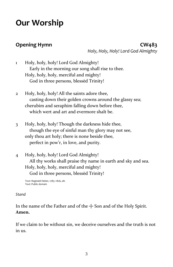# **Our Worship**

**Opening Hymn CW483**  *Holy, Holy, Holy! Lord God Almighty*

- 1 Holy, holy, holy! Lord God Almighty! Early in the morning our song shall rise to thee. Holy, holy, holy, merciful and mighty! God in three persons, blessèd Trinity!
- 2 Holy, holy, holy! All the saints adore thee, casting down their golden crowns around the glassy sea; cherubim and seraphim falling down before thee, which wert and art and evermore shalt be.
- 3 Holy, holy, holy! Though the darkness hide thee, though the eye of sinful man thy glory may not see, only thou art holy; there is none beside thee, perfect in pow'r, in love, and purity.
- 4 Holy, holy, holy! Lord God Almighty! All thy works shall praise thy name in earth and sky and sea. Holy, holy, holy, merciful and mighty! God in three persons, blessèd Trinity!

```
Text: Reginald Heber, 1783–1826, alt.
Text: Public domain
```
### *Stand*

In the name of the Father and of the  $+$  Son and of the Holy Spirit. **Amen.**

If we claim to be without sin, we deceive ourselves and the truth is not in us.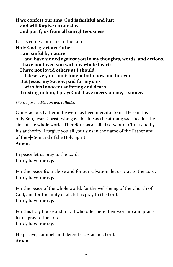**If we confess our sins, God is faithful and just and will forgive us our sins and purify us from all unrighteousness.**

Let us confess our sins to the Lord. **Holy God, gracious Father, I am sinful by nature and have sinned against you in my thoughts, words, and actions. I have not loved you with my whole heart; I have not loved others as I should. I deserve your punishment both now and forever. But Jesus, my Savior, paid for my sins with his innocent suffering and death. Trusting in him, I pray: God, have mercy on me, a sinner.**

*Silence for meditation and reflection*

Our gracious Father in heaven has been merciful to us. He sent his only Son, Jesus Christ, who gave his life as the atoning sacrifice for the sins of the whole world. Therefore, as a called servant of Christ and by his authority, I forgive you all your sins in the name of the Father and of the  $+$  Son and of the Holy Spirit.

**Amen.**

In peace let us pray to the Lord. **Lord, have mercy.**

For the peace from above and for our salvation, let us pray to the Lord. **Lord, have mercy.**

For the peace of the whole world, for the well-being of the Church of God, and for the unity of all, let us pray to the Lord. **Lord, have mercy.**

For this holy house and for all who offer here their worship and praise, let us pray to the Lord. **Lord, have mercy.**

Help, save, comfort, and defend us, gracious Lord. **Amen.**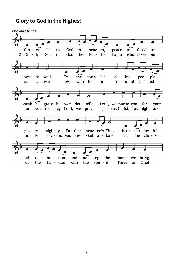# **Glory to God in the Highest**

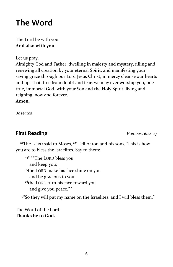# **The Word**

The Lord be with you. **And also with you.**

Let us pray.

Almighty God and Father, dwelling in majesty and mystery, filling and renewing all creation by your eternal Spirit, and manifesting your saving grace through our Lord Jesus Christ, in mercy cleanse our hearts and lips that, free from doubt and fear, we may ever worship you, one true, immortal God, with your Son and the Holy Spirit, living and reigning, now and forever.

**Amen.**

*Be seated*

# **First Reading** *Numbers 6:22–27*

<sup>22</sup>The LORD said to Moses, <sup>23"</sup>Tell Aaron and his sons, 'This is how you are to bless the Israelites. Say to them:

<sup>24" '</sup> "The LORD bless you and keep you; <sup>25</sup>the LORD make his face shine on you and be gracious to you; <sup>26</sup>the LORD turn his face toward you and give you peace." '

<sup>27</sup>"So they will put my name on the Israelites, and I will bless them."

The Word of the Lord. **Thanks be to God.**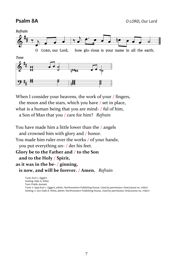**Psalm 8A** *O LORD, Our Lord*



When I consider your heavens, the work of your / fingers,

the moon and the stars, which you have / set in place,

what is a human being that you are mind- / ful of him,

a Son of Man that you / care for him? *Refrain*

You have made him a little lower than the / angels and crowned him with glory and / honor. You made him ruler over the works / of your hands; you put everything un- / der his feet. **Glory be to the Father and** / **to the Son** **and to the Holy** / **Spirit, as it was in the be-** / **ginning,** **is now, and will be forever.** / **Amen.** *Refrain*

Tune: Kurt J. Eggert Setting: Dale A. Witte Text: Public domain Tune: © 1993 Kurt J. Eggert, admin. Northwestern Publishing House. Used by permission: OneLicense no. 716671 Setting: © 2021 Dale A. Witte, admin. Northwestern Publishing House. Used by permission: OneLicense no. 716671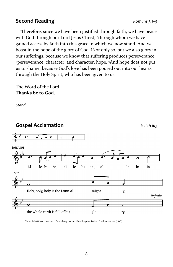# **Second Reading** *Romans 5:1–5*

<sup>1</sup>Therefore, since we have been justified through faith, we have peace with God through our Lord Jesus Christ, <sup>2</sup>through whom we have gained access by faith into this grace in which we now stand. And we boast in the hope of the glory of God. <sup>3</sup>Not only so, but we also glory in our sufferings, because we know that suffering produces perseverance; <sup>4</sup>perseverance, character; and character, hope. <sup>5</sup>And hope does not put us to shame, because God's love has been poured out into our hearts through the Holy Spirit, who has been given to us.

The Word of the Lord. **Thanks be to God.**

*Stand*



Tune: © 2021 Northwestern Publishing House. Used by permission: OneLicense no. 716671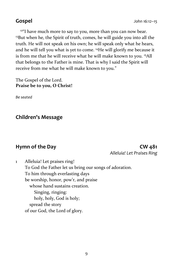<sup>12"</sup>I have much more to say to you, more than you can now bear. <sup>13</sup>But when he, the Spirit of truth, comes, he will guide you into all the truth. He will not speak on his own; he will speak only what he hears, and he will tell you what is yet to come. <sup>14</sup>He will glorify me because it is from me that he will receive what he will make known to you. <sup>15</sup>All that belongs to the Father is mine. That is why I said the Spirit will receive from me what he will make known to you."

The Gospel of the Lord. **Praise be to you, O Christ!**

*Be seated*

**Children's Message**

### **Hymn of the Day CW 481** *Alleluia! Let Praises Ring*

1 Alleluia! Let praises ring! To God the Father let us bring our songs of adoration. To him through everlasting days be worship, honor, pow'r, and praise whose hand sustains creation. Singing, ringing: holy, holy, God is holy; spread the story of our God, the Lord of glory.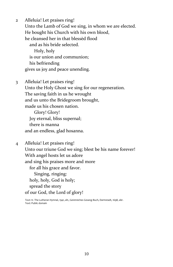2 Alleluia! Let praises ring! Unto the Lamb of God we sing, in whom we are elected. He bought his Church with his own blood, he cleansed her in that blessèd flood and as his bride selected. Holy, holy is our union and communion; his befriending gives us joy and peace unending.

3 Alleluia! Let praises ring! Unto the Holy Ghost we sing for our regeneration. The saving faith in us he wrought and us unto the Bridegroom brought, made us his chosen nation.

 Glory! Glory! Joy eternal, bliss supernal; there is manna and an endless, glad hosanna.

4 Alleluia! Let praises ring! Unto our triune God we sing; blest be his name forever! With angel hosts let us adore and sing his praises more and more for all his grace and favor. Singing, ringing: holy, holy, God is holy; spread the story of our God, the Lord of glory!

Text: tr. The Lutheran Hymnal, 1941, alt.; Geistreiches Gesang-Buch, Darmstadt, 1698, abr. Text: Public domain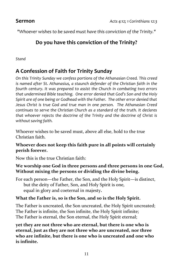*"Whoever wishes to be saved must have this conviction of the Trinity."*

# **Do you have this conviction of the Trinity?**

*Stand*

# **A Confession of Faith for Trinity Sunday**

*On this Trinity Sunday we confess portions of the Athanasian Creed. This creed is named after St. Athanasius, a staunch defender of the Christian faith in the fourth century. It was prepared to assist the Church in combating two errors that undermined Bible teaching. One error denied that God's Son and the Holy Spirit are of one being or Godhead with the Father. The other error denied that Jesus Christ is true God and true man in one person. The Athanasian Creed continues to serve the Christian Church as a standard of the truth. It declares that whoever rejects the doctrine of the Trinity and the doctrine of Christ is without saving faith.*

Whoever wishes to be saved must, above all else, hold to the true Christian faith.

### **Whoever does not keep this faith pure in all points will certainly perish forever.**

Now this is the true Christian faith:

### **We worship one God in three persons and three persons in one God, Without mixing the persons or dividing the divine being.**

For each person—the Father, the Son, and the Holy Spirit—is distinct, but the deity of Father, Son, and Holy Spirit is one, equal in glory and coeternal in majesty**.**

# **What the Father is, so is the Son, and so is the Holy Spirit.**

The Father is uncreated, the Son uncreated, the Holy Spirit uncreated; The Father is infinite, the Son infinite, the Holy Spirit infinite; The Father is eternal, the Son eternal, the Holy Spirit eternal;

**yet they are not three who are eternal, but there is one who is eternal, just as they are not three who are uncreated, nor three who are infinite, but there is one who is uncreated and one who is infinite.**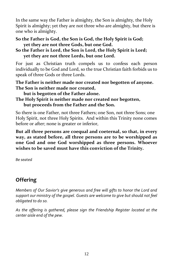In the same way the Father is almighty, the Son is almighty, the Holy Spirit is almighty; yet they are not three who are almighty, but there is one who is almighty.

### **So the Father is God, the Son is God, the Holy Spirit is God; yet they are not three Gods, but one God.**

### **So the Father is Lord, the Son is Lord, the Holy Spirit is Lord; yet they are not three Lords, but one Lord.**

For just as Christian truth compels us to confess each person individually to be God and Lord, so the true Christian faith forbids us to speak of three Gods or three Lords.

### **The Father is neither made nor created nor begotten of anyone. The Son is neither made nor created,**

**but is begotten of the Father alone.**

### **The Holy Spirit is neither made nor created nor begotten, but proceeds from the Father and the Son.**

So there is one Father, not three Fathers; one Son, not three Sons; one Holy Spirit, not three Holy Spirits. And within this Trinity none comes before or after; none is greater or inferior,

**But all three persons are coequal and coeternal, so that, in every way, as stated before, all three persons are to be worshipped as one God and one God worshipped as three persons. Whoever wishes to be saved must have this conviction of the Trinity.**

*Be seated*

# **Offering**

*Members of Our Savior's give generous and free will gifts to honor the Lord and support our ministry of the gospel. Guests are welcome to give but should not feel obligated to do so.* 

*As the offering is gathered, please sign the Friendship Register located at the center aisle end of the pew.*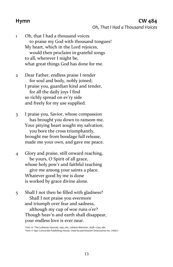### **Hymn CW 484** *Oh, That I Had a Thousand Voices*

1 Oh, that I had a thousand voices to praise my God with thousand tongues! My heart, which in the Lord rejoices, would then proclaim in grateful songs to all, wherever I might be, what great things God has done for me.

2 Dear Father, endless praise I render for soul and body, nobly joined; I praise you, guardian kind and tender, for all the daily joys I find so richly spread on ev'ry side and freely for my use supplied.

3 I praise you, Savior, whose compassion has brought you down to ransom me. Your pitying heart sought my salvation; you bore the cross triumphantly, brought me from bondage full release, made me your own, and gave me peace.

4 Glory and praise, still onward reaching, be yours, O Spirit of all grace, whose holy pow'r and faithful teaching give me among your saints a place. Whatever good by me is done is worked by grace divine alone.

5 Shall I not then be filled with gladness? Shall I not praise you evermore and triumph over fear and sadness, although my cup of woe runs o'er? Though heav'n and earth shall disappear, your endless love is ever near.

> Text: tr. The Lutheran Hymnal, 1941, alt.; Johann Mentzer, 1658–1734, abr. Text: © 1941 Concordia Publishing House. Used by permission: OneLicense no. 716671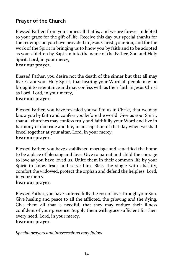# **Prayer of the Church**

Blessed Father, from you comes all that is, and we are forever indebted to your grace for the gift of life. Receive this day our special thanks for the redemption you have provided in Jesus Christ, your Son, and for the work of the Spirit in bringing us to know you by faith and to be adopted as your children by Baptism into the name of the Father, Son and Holy Spirit. Lord, in your mercy,

### **hear our prayer.**

Blessed Father, you desire not the death of the sinner but that all may live. Grant your Holy Spirit, that hearing your Word all people may be brought to repentance and may confess with us their faith in Jesus Christ as Lord. Lord, in your mercy,

### **hear our prayer.**

Blessed Father, you have revealed yourself to us in Christ, that we may know you by faith and confess you before the world. Give us your Spirit, that all churches may confess truly and faithfully your Word and live in harmony of doctrine and life, in anticipation of that day when we shall kneel together at your altar. Lord, in your mercy,

### **hear our prayer.**

Blessed Father, you have established marriage and sanctified the home to be a place of blessing and love. Give to parent and child the courage to love as you have loved us. Unite them in their common life by your Spirit to know Jesus and serve him. Bless the single with chastity, comfort the widowed, protect the orphan and defend the helpless. Lord, in your mercy,

### **hear our prayer.**

Blessed Father, you have suffered fully the cost of love through your Son. Give healing and peace to all the afflicted, the grieving and the dying. Give them all that is needful, that they may endure their illness confident of your presence. Supply them with grace sufficient for their every need. Lord, in your mercy,

### **hear our prayer.**

*Special prayers and intercessions may follow*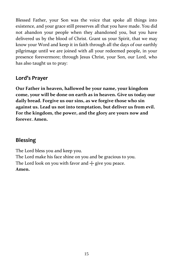Blessed Father, your Son was the voice that spoke all things into existence, and your grace still preserves all that you have made. You did not abandon your people when they abandoned you, but you have delivered us by the blood of Christ. Grant us your Spirit, that we may know your Word and keep it in faith through all the days of our earthly pilgrimage until we are joined with all your redeemed people, in your presence forevermore; through Jesus Christ, your Son, our Lord, who has also taught us to pray:

# **Lord's Prayer**

**Our Father in heaven, hallowed be your name, your kingdom come, your will be done on earth as in heaven. Give us today our daily bread. Forgive us our sins, as we forgive those who sin against us. Lead us not into temptation, but deliver us from evil. For the kingdom, the power, and the glory are yours now and forever. Amen.**

# **Blessing**

The Lord bless you and keep you. The Lord make his face shine on you and be gracious to you. The Lord look on you with favor and  $+$  give you peace. **Amen.**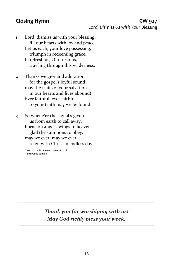### **Closing Hymn CW 927** *Lord, Dismiss Us with Your Blessing*

- 1 Lord, dismiss us with your blessing; fill our hearts with joy and peace. Let us each, your love possessing, triumph in redeeming grace. O refresh us, O refresh us, trav'ling through this wilderness.
- 2 Thanks we give and adoration for the gospel's joyful sound; may the fruits of your salvation in our hearts and lives abound! Ever faithful, ever faithful to your truth may we be found.
- 3 So whene'er the signal's given us from earth to call away, borne on angels' wings to heaven, glad the summons to obey, may we ever, may we ever reign with Christ in endless day.

Text: attr. John Fawcett, 1740–1817, alt. Text: Public domain

# *Thank you for worshiping with us! May God richly bless your week.*

\_\_\_\_\_\_\_\_\_\_\_\_\_\_\_\_\_\_\_\_\_\_\_\_\_\_\_\_\_\_\_\_\_\_\_\_\_\_\_\_\_\_\_\_\_\_\_\_\_\_\_\_\_\_\_\_\_\_\_\_\_\_\_\_\_\_\_\_\_\_\_\_\_\_\_\_\_

*\_\_\_\_\_\_\_\_\_\_\_\_\_\_\_\_\_\_\_\_\_\_\_\_\_\_\_\_\_\_\_\_\_\_\_\_\_\_\_\_\_\_\_\_\_\_\_\_\_\_\_\_*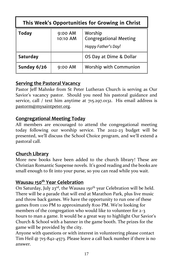| This Week's Opportunities for Growing in Christ |                     |                                                                 |  |  |  |
|-------------------------------------------------|---------------------|-----------------------------------------------------------------|--|--|--|
| <b>Today</b>                                    | 9:00 AM<br>10:10 AM | Worship<br><b>Congregational Meeting</b><br>Happy Father's Day! |  |  |  |
| <b>Saturday</b>                                 |                     | OS Day at Dime & Dollar                                         |  |  |  |
| Sunday 6/26                                     | $9:00$ AM           | Worship with Communion                                          |  |  |  |

# **Serving the Pastoral Vacancy**

Pastor Jeff Mahnke from St Peter Lutheran Church is serving as Our Savior's vacancy pastor. Should you need his pastoral guidance and service, call / text him anytime at 715.297.0132. His email address is [pastorm@mysaintpeter.org.](mailto:pastorm@mysaintpeter.org)

# **Congregational Meeting Today**

All members are encouraged to attend the congregational meeting today following our worship service. The 2022-23 budget will be presented, we'll discuss the School Choice program, and we'll extend a pastoral call.

# **Church Library**

More new books have been added to the church library! These are Christian Romantic Suspense novels. It's good reading and the books are small enough to fit into your purse, so you can read while you wait.

# **Wausau 150th Year Celebration**

On Saturday, July 23<sup>rd</sup>, the Wausau 150<sup>th</sup> year Celebration will be held. There will be a parade that will end at Marathon Park, plus live music and throw back games. We have the opportunity to run one of these games from 1:00 PM to approximately 8:00 PM. We're looking for members of the congregation who would like to volunteer for 2-3 hours to man a game. It would be a great way to highlight Our Savior's Church & School with a banner in the game booth. The prizes for the game will be provided by the city.

Anyone with questions or with interest in volunteering please contact Tim Heil @ 715-842-4573. Please leave a call back number if there is no answer.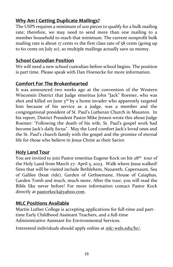# **Why Am I Getting Duplicate Mailings?**

The USPS requires a minimum of 200 pieces to qualify for a bulk mailing rate; therefore, we may need to send more than one mailing to a member household to reach that minimum. The current nonprofit bulk mailing rate is about 17 cents vs the first class rate of 58 cents (going up to 60 cents on July 10), so multiple mailings actually save us money.

# **School Custodian Position**

We will need a new school custodian before school begins. The position is part time. Please speak with Dan Hoenecke for more information.

# **Comfort For The Brokenhearted**

It was announced two weeks ago at the convention of the Western Wisconsin District that Judge emeritus John "Jack" Roemer, who was shot and killed on June  $3^{rd}$  by a home invader who apparently targeted him because of his service as a judge, was a member and the congregational president of St. Paul's Lutheran Church in Mauston. In his report, District President Pastor Mike Jensen wrote this about Judge Roemer: "Following the death of his wife, St. Paul's gospel work had become Jack's daily focus". May the Lord comfort Jack's loved ones and the St. Paul's church family with the gospel and the promise of eternal life for those who believe in Jesus Christ as their Savior.

# **Holy Land Tour**

You are invited to join Pastor emeritus Eugene Kock on his 28<sup>th</sup> tour of the Holy Land from March 27- April 5, 2023. Walk where Jesus walked! Sites that will be visited include Bethlehem, Nazareth, Capernaum, Sea of Galilee (boat ride), Garden of Gethsemane, House of Caiaphas, Garden Tomb and much, much more. After the tour, you will read the Bible like never before! For more information contact Pastor Kock directly a[t pastorkock@yahoo.com.](mailto:pastorkock@yahoo.com)

# **MLC Positions Available**

Martin Luther College is accepting applications for full-time and parttime Early Childhood Assistant Teachers, and a full-time Administrative Assistant for Environmental Services.

Interested individuals should apply online at [mlc-wels.edu/hr/.](https://r20.rs6.net/tn.jsp?f=001uExvtTrWzIE1SE9w9BqGIM4DLM2scuoOjG2p2zjHnk5jEWS7L4HJA__Fye9CFFQZ1VO9ZD-Djwr7Q4orF1ZM7JTmVEywedXx2hNkPx3PFw7-N7UCnEQW-o69U8-NkYGhHwBgKVqmPg9uTQERhPfQkQ==&c=esDZqoKaRn2PKGBUTXnd48c9MJyQ4-Jygphbh-FJVpKH4Pb4KFa7fQ==&ch=N6piJlWhyZt0GhCoy8Lb5whpDyUrS6FimyeC7no1_Tg6XaY6lGtJIw==)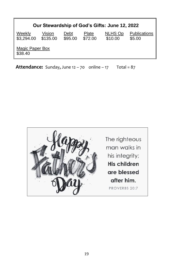| Our Stewardship of God's Gifts: June 12, 2022 |                    |                 |                  |                    |                        |  |  |
|-----------------------------------------------|--------------------|-----------------|------------------|--------------------|------------------------|--|--|
| Weekly<br>\$3,294.00                          | Vision<br>\$135.00 | Debt<br>\$95.00 | Plate<br>\$72.00 | NLHS Op<br>\$10.00 | Publications<br>\$5.00 |  |  |
| Magic Paper Box<br>\$38.40                    |                    |                 |                  |                    |                        |  |  |
|                                               |                    |                 |                  |                    |                        |  |  |

**Attendance:** Sunday, June  $12 - 70$  online  $-17$  Total =  $87$